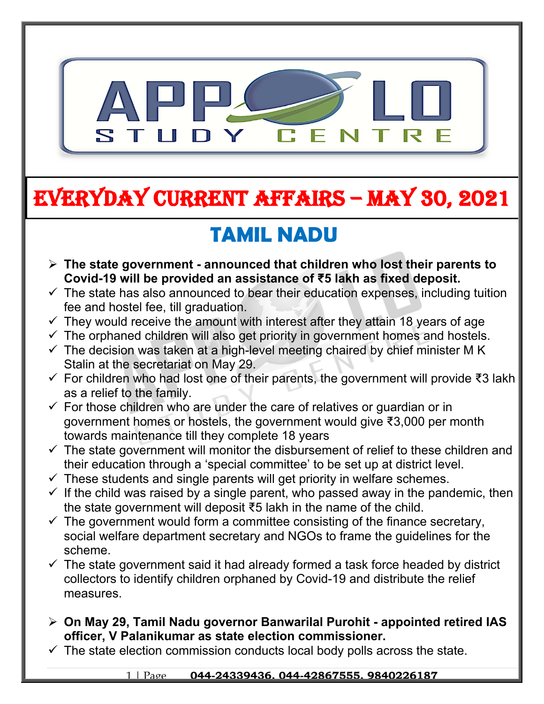

# **EVERYDAY CURRENT AFFAIRS – MAY 30, 2021**

## **TAMIL NADU**

**-**

- **The state government announced that children who lost their parents to Covid-19 will be provided an assistance of ₹5 lakh as fixed deposit.**
- $\checkmark$  The state has also announced to bear their education expenses, including tuition fee and hostel fee, till graduation.
- $\checkmark$  They would receive the amount with interest after they attain 18 years of age
- $\checkmark$  The orphaned children will also get priority in government homes and hostels.
- $\checkmark$  The decision was taken at a high-level meeting chaired by chief minister M K Stalin at the secretariat on May 29.
- For children who had lost one of their parents, the government will provide ₹3 lakh as a relief to the family.
- $\checkmark$  For those children who are under the care of relatives or quardian or in government homes or hostels, the government would give ₹3,000 per month towards maintenance till they complete 18 years
- $\checkmark$  The state government will monitor the disbursement of relief to these children and their education through a 'special committee' to be set up at district level.
- $\checkmark$  These students and single parents will get priority in welfare schemes.
- $\checkmark$  If the child was raised by a single parent, who passed away in the pandemic, then the state government will deposit ₹5 lakh in the name of the child.
- $\checkmark$  The government would form a committee consisting of the finance secretary, social welfare department secretary and NGOs to frame the guidelines for the scheme.
- $\checkmark$  The state government said it had already formed a task force headed by district collectors to identify children orphaned by Covid-19 and distribute the relief measures.
- **On May 29, Tamil Nadu governor Banwarilal Purohit appointed retired IAS officer, V Palanikumar as state election commissioner.**
- $\checkmark$  The state election commission conducts local body polls across the state.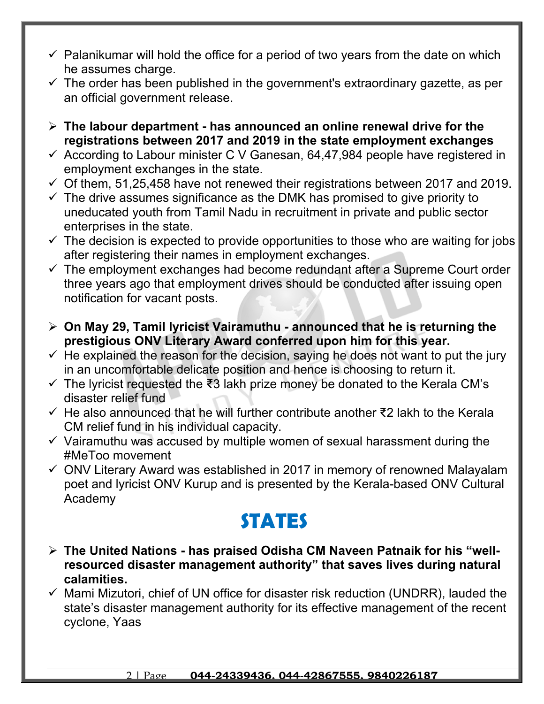- $\checkmark$  Palanikumar will hold the office for a period of two years from the date on which he assumes charge.
- $\checkmark$  The order has been published in the government's extraordinary gazette, as per an official government release.
- **The labour department has announced an online renewal drive for the registrations between 2017 and 2019 in the state employment exchanges**
- $\checkmark$  According to Labour minister C V Ganesan, 64,47,984 people have registered in employment exchanges in the state.
- $\checkmark$  Of them, 51,25,458 have not renewed their registrations between 2017 and 2019.
- $\checkmark$  The drive assumes significance as the DMK has promised to give priority to uneducated youth from Tamil Nadu in recruitment in private and public sector enterprises in the state.
- $\checkmark$  The decision is expected to provide opportunities to those who are waiting for jobs after registering their names in employment exchanges.
- $\checkmark$  The employment exchanges had become redundant after a Supreme Court order three years ago that employment drives should be conducted after issuing open notification for vacant posts.
- **On May 29, Tamil lyricist Vairamuthu announced that he is returning the prestigious ONV Literary Award conferred upon him for this year.**
- $\checkmark$  He explained the reason for the decision, saying he does not want to put the jury in an uncomfortable delicate position and hence is choosing to return it.
- The lyricist requested the ₹3 lakh prize money be donated to the Kerala CM's disaster relief fund
- He also announced that he will further contribute another ₹2 lakh to the Kerala CM relief fund in his individual capacity.
- $\checkmark$  Vairamuthu was accused by multiple women of sexual harassment during the #MeToo movement
- $\checkmark$  ONV Literary Award was established in 2017 in memory of renowned Malayalam poet and lyricist ONV Kurup and is presented by the Kerala-based ONV Cultural Academy

## **STATES**

- **The United Nations has praised Odisha CM Naveen Patnaik for his "wellresourced disaster management authority" that saves lives during natural calamities.**
- $\checkmark$  Mami Mizutori, chief of UN office for disaster risk reduction (UNDRR), lauded the state's disaster management authority for its effective management of the recent cyclone, Yaas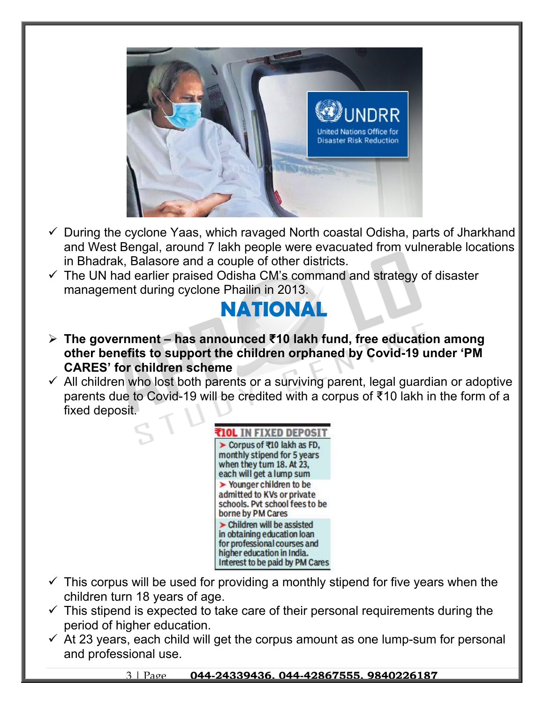

- $\checkmark$  During the cyclone Yaas, which ravaged North coastal Odisha, parts of Jharkhand and West Bengal, around 7 lakh people were evacuated from vulnerable locations in Bhadrak, Balasore and a couple of other districts.
- $\checkmark$  The UN had earlier praised Odisha CM's command and strategy of disaster management during cyclone Phailin in 2013.

## **NATIONAL**

- **The government has announced ₹10 lakh fund, free education among other benefits to support the children orphaned by Covid-19 under 'PM CARES' for children scheme**
- $\checkmark$  All children who lost both parents or a surviving parent, legal guardian or adoptive parents due to Covid-19 will be credited with a corpus of ₹10 lakh in the form of a fixed deposit.



- $\checkmark$  This corpus will be used for providing a monthly stipend for five years when the children turn 18 years of age.
- $\checkmark$  This stipend is expected to take care of their personal requirements during the period of higher education.
- $\checkmark$  At 23 years, each child will get the corpus amount as one lump-sum for personal and professional use.

#### 3 | Page **044-24339436, 044-42867555, 9840226187**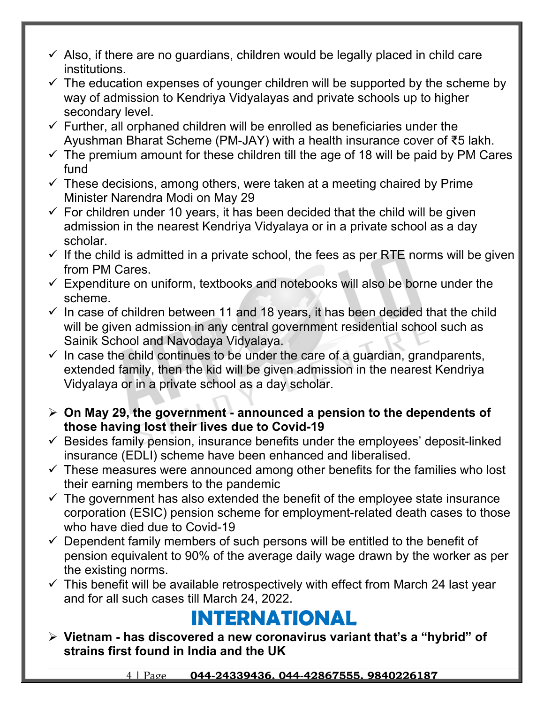- $\checkmark$  Also, if there are no guardians, children would be legally placed in child care institutions.
- $\checkmark$  The education expenses of younger children will be supported by the scheme by way of admission to Kendriya Vidyalayas and private schools up to higher secondary level.
- $\checkmark$  Further, all orphaned children will be enrolled as beneficiaries under the Ayushman Bharat Scheme (PM-JAY) with a health insurance cover of ₹5 lakh.
- $\checkmark$  The premium amount for these children till the age of 18 will be paid by PM Cares fund
- $\checkmark$  These decisions, among others, were taken at a meeting chaired by Prime Minister Narendra Modi on May 29
- $\checkmark$  For children under 10 years, it has been decided that the child will be given admission in the nearest Kendriya Vidyalaya or in a private school as a day scholar.
- $\checkmark$  If the child is admitted in a private school, the fees as per RTE norms will be given from PM Cares.
- $\checkmark$  Expenditure on uniform, textbooks and notebooks will also be borne under the scheme.
- $\checkmark$  In case of children between 11 and 18 years, it has been decided that the child will be given admission in any central government residential school such as Sainik School and Navodaya Vidyalaya.
- $\checkmark$  In case the child continues to be under the care of a guardian, grandparents, extended family, then the kid will be given admission in the nearest Kendriya Vidyalaya or in a private school as a day scholar.
- **On May 29, the government announced a pension to the dependents of those having lost their lives due to Covid-19**
- $\checkmark$  Besides family pension, insurance benefits under the employees' deposit-linked insurance (EDLI) scheme have been enhanced and liberalised.
- $\checkmark$  These measures were announced among other benefits for the families who lost their earning members to the pandemic
- $\checkmark$  The government has also extended the benefit of the employee state insurance corporation (ESIC) pension scheme for employment-related death cases to those who have died due to Covid-19
- $\checkmark$  Dependent family members of such persons will be entitled to the benefit of pension equivalent to 90% of the average daily wage drawn by the worker as per the existing norms.
- $\checkmark$  This benefit will be available retrospectively with effect from March 24 last year and for all such cases till March 24, 2022.

### **INTERNATIONAL**

 **Vietnam - has discovered a new coronavirus variant that's a "hybrid" of strains first found in India and the UK**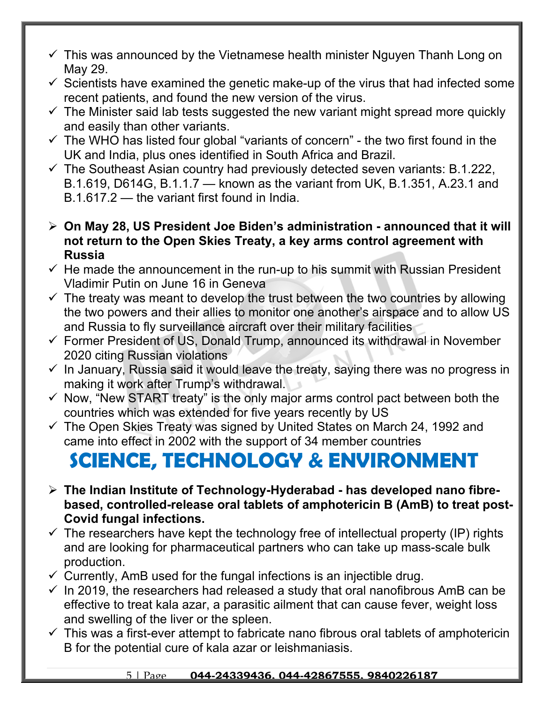- $\checkmark$  This was announced by the Vietnamese health minister Nguyen Thanh Long on May 29.
- $\checkmark$  Scientists have examined the genetic make-up of the virus that had infected some recent patients, and found the new version of the virus.
- $\checkmark$  The Minister said lab tests suggested the new variant might spread more quickly and easily than other variants.
- $\checkmark$  The WHO has listed four global "variants of concern" the two first found in the UK and India, plus ones identified in South Africa and Brazil.
- $\checkmark$  The Southeast Asian country had previously detected seven variants: B.1.222, B.1.619, D614G, B.1.1.7 — known as the variant from UK, B.1.351, A.23.1 and B.1.617.2 — the variant first found in India.
- **On May 28, US President Joe Biden's administration announced that it will not return to the Open Skies Treaty, a key arms control agreement with Russia**
- $\checkmark$  He made the announcement in the run-up to his summit with Russian President Vladimir Putin on June 16 in Geneva
- $\checkmark$  The treaty was meant to develop the trust between the two countries by allowing the two powers and their allies to monitor one another's airspace and to allow US and Russia to fly surveillance aircraft over their military facilities
- $\checkmark$  Former President of US, Donald Trump, announced its withdrawal in November 2020 citing Russian violations
- $\checkmark$  In January, Russia said it would leave the treaty, saying there was no progress in making it work after Trump's withdrawal.
- $\checkmark$  Now, "New START treaty" is the only major arms control pact between both the countries which was extended for five years recently by US
- $\checkmark$  The Open Skies Treaty was signed by United States on March 24, 1992 and came into effect in 2002 with the support of 34 member countries

## **SCIENCE, TECHNOLOGY & ENVIRONMENT**

- **The Indian Institute of Technology-Hyderabad has developed nano fibrebased, controlled-release oral tablets of amphotericin B (AmB) to treat post-Covid fungal infections.**
- $\checkmark$  The researchers have kept the technology free of intellectual property (IP) rights and are looking for pharmaceutical partners who can take up mass-scale bulk production.
- $\checkmark$  Currently, AmB used for the fungal infections is an injectible drug.
- $\checkmark$  In 2019, the researchers had released a study that oral nanofibrous AmB can be effective to treat kala azar, a parasitic ailment that can cause fever, weight loss and swelling of the liver or the spleen.
- $\checkmark$  This was a first-ever attempt to fabricate nano fibrous oral tablets of amphotericin B for the potential cure of kala azar or leishmaniasis.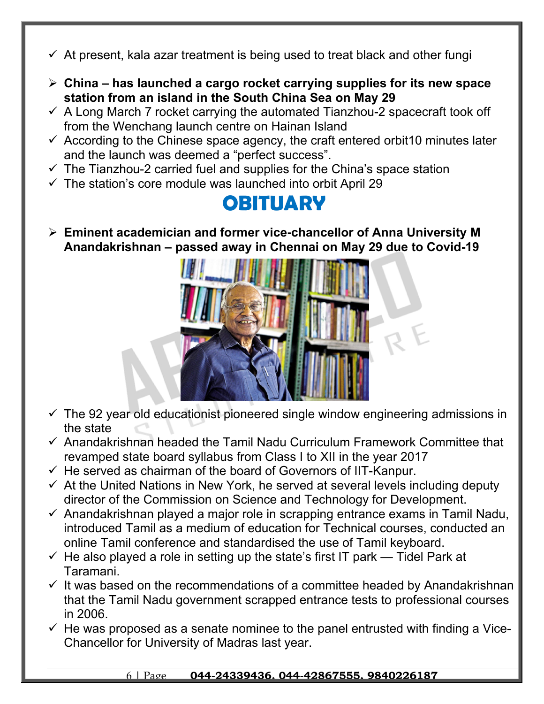- $\checkmark$  At present, kala azar treatment is being used to treat black and other fungi
- **China has launched a cargo rocket carrying supplies for its new space station from an island in the South China Sea on May 29**
- $\checkmark$  A Long March 7 rocket carrying the automated Tianzhou-2 spacecraft took off from the Wenchang launch centre on Hainan Island
- $\checkmark$  According to the Chinese space agency, the craft entered orbit 10 minutes later and the launch was deemed a "perfect success".
- $\checkmark$  The Tianzhou-2 carried fuel and supplies for the China's space station
- $\checkmark$  The station's core module was launched into orbit April 29

### **OBITUARY**

 **Eminent academician and former vice-chancellor of Anna University M Anandakrishnan – passed away in Chennai on May 29 due to Covid-19**



- $\checkmark$  The 92 year old educationist pioneered single window engineering admissions in the state
- $\checkmark$  Anandakrishnan headed the Tamil Nadu Curriculum Framework Committee that revamped state board syllabus from Class I to XII in the year 2017
- $\checkmark$  He served as chairman of the board of Governors of IIT-Kanpur.
- $\checkmark$  At the United Nations in New York, he served at several levels including deputy director of the Commission on Science and Technology for Development.
- $\checkmark$  Anandakrishnan played a major role in scrapping entrance exams in Tamil Nadu, introduced Tamil as a medium of education for Technical courses, conducted an online Tamil conference and standardised the use of Tamil keyboard.
- $\checkmark$  He also played a role in setting up the state's first IT park Tidel Park at Taramani.
- $\checkmark$  It was based on the recommendations of a committee headed by Anandakrishnan that the Tamil Nadu government scrapped entrance tests to professional courses in 2006.
- $\checkmark$  He was proposed as a senate nominee to the panel entrusted with finding a Vice-Chancellor for University of Madras last year.